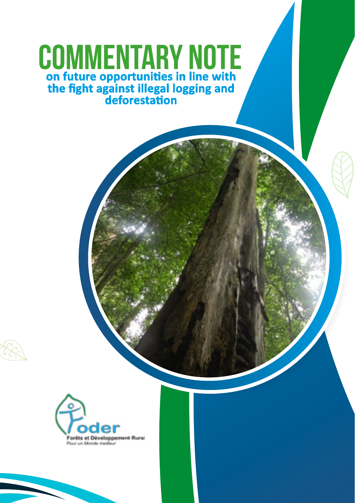# **on future opportunities in line with the fight against illegal logging and deforestation** COMMENTARY NOTE

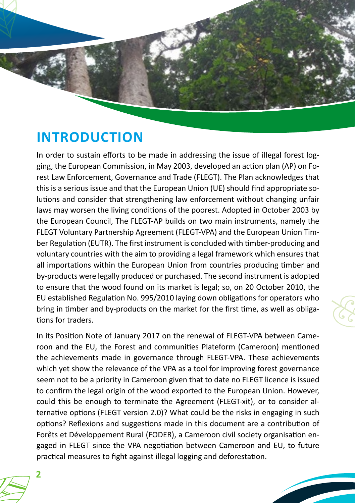

In order to sustain efforts to be made in addressing the issue of illegal forest logging, the European Commission, in May 2003, developed an action plan (AP) on Forest Law Enforcement, Governance and Trade (FLEGT). The Plan acknowledges that this is a serious issue and that the European Union (UE) should find appropriate solutions and consider that strengthening law enforcement without changing unfair laws may worsen the living conditions of the poorest. Adopted in October 2003 by the European Council, The FLEGT-AP builds on two main instruments, namely the FLEGT Voluntary Partnership Agreement (FLEGT-VPA) and the European Union Timber Regulation (EUTR). The first instrument is concluded with timber-producing and voluntary countries with the aim to providing a legal framework which ensures that all importations within the European Union from countries producing timber and by-products were legally produced or purchased. The second instrument is adopted to ensure that the wood found on its market is legal; so, on 20 October 2010, the EU established Regulation No. 995/2010 laying down obligations for operators who bring in timber and by-products on the market for the first time, as well as obligations for traders.

In its Position Note of January 2017 on the renewal of FLEGT-VPA between Cameroon and the EU, the Forest and communities Plateform (Cameroon) mentioned the achievements made in governance through FLEGT-VPA. These achievements which yet show the relevance of the VPA as a tool for improving forest governance seem not to be a priority in Cameroon given that to date no FLEGT licence is issued to confirm the legal origin of the wood exported to the European Union. However, could this be enough to terminate the Agreement (FLEGT-xit), or to consider alternative options (FLEGT version 2.0)? What could be the risks in engaging in such options? Reflexions and suggestions made in this document are a contribution of Forêts et Développement Rural (FODER), a Cameroon civil society organisation engaged in FLEGT since the VPA negotiation between Cameroon and EU, to future practical measures to fight against illegal logging and deforestation.

**2**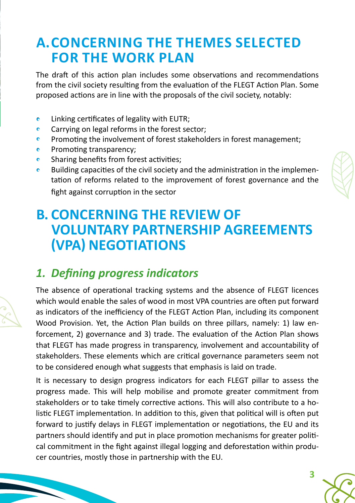## **A.CONCERNING THE THEMES SELECTED FOR THE WORK PLAN**

The draft of this action plan includes some observations and recommendations from the civil society resulting from the evaluation of the FLEGT Action Plan. Some proposed actions are in line with the proposals of the civil society, notably:

- **•** Linking certificates of legality with EUTR;
- Carrying on legal reforms in the forest sector;
- Promoting the involvement of forest stakeholders in forest management;
- **•** Promoting transparency;
- Sharing benefits from forest activities;
- Building capacities of the civil society and the administration in the implementation of reforms related to the improvement of forest governance and the fight against corruption in the sector

### **B. CONCERNING THE REVIEW OF VOLUNTARY PARTNERSHIP AGREEMENTS (VPA) NEGOTIATIONS**

#### *1. Defining progress indicators*

The absence of operational tracking systems and the absence of FLEGT licences which would enable the sales of wood in most VPA countries are often put forward as indicators of the inefficiency of the FLEGT Action Plan, including its component Wood Provision. Yet, the Action Plan builds on three pillars, namely: 1) law enforcement, 2) governance and 3) trade. The evaluation of the Action Plan shows that FLEGT has made progress in transparency, involvement and accountability of stakeholders. These elements which are critical governance parameters seem not to be considered enough what suggests that emphasis is laid on trade.

It is necessary to design progress indicators for each FLEGT pillar to assess the progress made. This will help mobilise and promote greater commitment from stakeholders or to take timely corrective actions. This will also contribute to a holistic FLEGT implementation. In addition to this, given that political will is often put forward to justify delays in FLEGT implementation or negotiations, the EU and its partners should identify and put in place promotion mechanisms for greater political commitment in the fight against illegal logging and deforestation within producer countries, mostly those in partnership with the EU.

**3**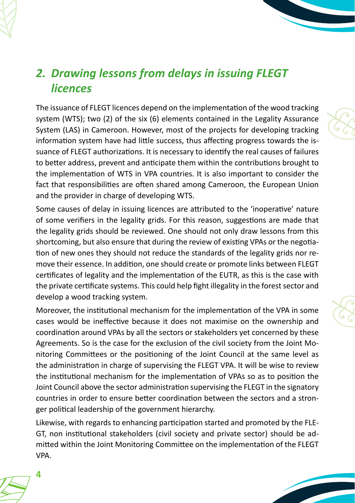### *2. Drawing lessons from delays in issuing FLEGT licences*

The issuance of FLEGT licences depend on the implementation of the wood tracking system (WTS); two (2) of the six (6) elements contained in the Legality Assurance System (LAS) in Cameroon. However, most of the projects for developing tracking information system have had little success, thus affecting progress towards the issuance of FLEGT authorizations. It is necessary to identify the real causes of failures to better address, prevent and anticipate them within the contributions brought to the implementation of WTS in VPA countries. It is also important to consider the fact that responsibilities are often shared among Cameroon, the European Union and the provider in charge of developing WTS.

Some causes of delay in issuing licences are attributed to the 'inoperative' nature of some verifiers in the legality grids. For this reason, suggestions are made that the legality grids should be reviewed. One should not only draw lessons from this shortcoming, but also ensure that during the review of existing VPAs or the negotiation of new ones they should not reduce the standards of the legality grids nor remove their essence. In addition, one should create or promote links between FLEGT certificates of legality and the implementation of the EUTR, as this is the case with the private certificate systems. This could help fight illegality in the forest sector and develop a wood tracking system.

Moreover, the institutional mechanism for the implementation of the VPA in some cases would be ineffective because it does not maximise on the ownership and coordination around VPAs by all the sectors or stakeholders yet concerned by these Agreements. So is the case for the exclusion of the civil society from the Joint Monitoring Committees or the positioning of the Joint Council at the same level as the administration in charge of supervising the FLEGT VPA. It will be wise to review the institutional mechanism for the implementation of VPAs so as to position the Joint Council above the sector administration supervising the FLEGT in the signatory countries in order to ensure better coordination between the sectors and a stronger political leadership of the government hierarchy.

Likewise, with regards to enhancing participation started and promoted by the FLE-GT, non institutional stakeholders (civil society and private sector) should be admitted within the Joint Monitoring Committee on the implementation of the FLEGT VPA.





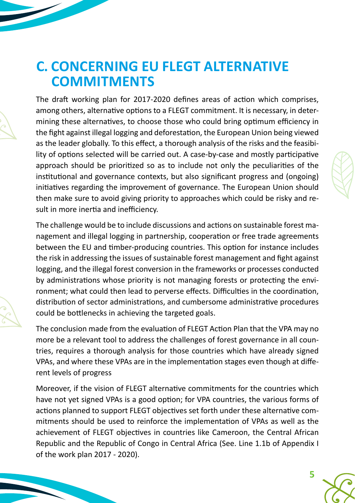### **C. CONCERNING EU FLEGT ALTERNATIVE COMMITMENTS**

The draft working plan for 2017-2020 defines areas of action which comprises, among others, alternative options to a FLEGT commitment. It is necessary, in determining these alternatives, to choose those who could bring optimum efficiency in the fight against illegal logging and deforestation, the European Union being viewed as the leader globally. To this effect, a thorough analysis of the risks and the feasibility of options selected will be carried out. A case-by-case and mostly participative approach should be prioritized so as to include not only the peculiarities of the institutional and governance contexts, but also significant progress and (ongoing) initiatives regarding the improvement of governance. The European Union should then make sure to avoid giving priority to approaches which could be risky and result in more inertia and inefficiency.

The challenge would be to include discussions and actions on sustainable forest management and illegal logging in partnership, cooperation or free trade agreements between the EU and timber-producing countries. This option for instance includes the risk in addressing the issues of sustainable forest management and fight against logging, and the illegal forest conversion in the frameworks or processes conducted by administrations whose priority is not managing forests or protecting the environment; what could then lead to perverse effects. Difficulties in the coordination, distribution of sector administrations, and cumbersome administrative procedures could be bottlenecks in achieving the targeted goals.

The conclusion made from the evaluation of FLEGT Action Plan that the VPA may no more be a relevant tool to address the challenges of forest governance in all countries, requires a thorough analysis for those countries which have already signed VPAs, and where these VPAs are in the implementation stages even though at different levels of progress

Moreover, if the vision of FLEGT alternative commitments for the countries which have not yet signed VPAs is a good option; for VPA countries, the various forms of actions planned to support FLEGT objectives set forth under these alternative commitments should be used to reinforce the implementation of VPAs as well as the achievement of FLEGT objectives in countries like Cameroon, the Central African Republic and the Republic of Congo in Central Africa (See. Line 1.1b of Appendix I of the work plan 2017 - 2020).

**5**